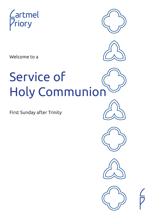

Welcome to a





# Service of Holy Communion

First Sunday after Trinity







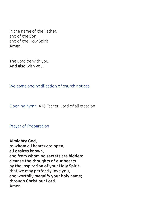In the name of the Father, and of the Son, and of the Holy Spirit. Amen.

The Lord be with you. And also with you.

Welcome and notification of church notices

Opening hymn: 418 Father, Lord of all creation

Prayer of Preparation

Almighty God, to whom all hearts are open, all desires known, and from whom no secrets are hidden: cleanse the thoughts of our hearts by the inspiration of your Holy Spirit, that we may perfectly love you, and worthily magnify your holy name; through Christ our Lord. Amen.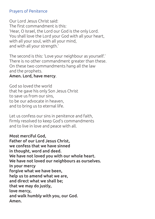#### Prayers of Penitence

Our Lord Jesus Christ said: The first commandment is this: 'Hear, O Israel, the Lord our God is the only Lord. You shall love the Lord your God with all your heart, with all your soul, with all your mind, and with all your strength.'

The second is this: 'Love your neighbour as yourself.' There is no other commandment greater than these. On these two commandments hang all the law and the prophets.

#### Amen. Lord, have mercy.

God so loved the world that he gave his only Son Jesus Christ to save us from our sins, to be our advocate in heaven, and to bring us to eternal life.

Let us confess our sins in penitence and faith, firmly resolved to keep God's commandments and to live in love and peace with all.

Most merciful God, Father of our Lord Jesus Christ, we confess that we have sinned in thought, word and deed. We have not loved you with our whole heart. We have not loved our neighbours as ourselves. In your mercy forgive what we have been, help us to amend what we are, and direct what we shall be; that we may do justly, love mercy, and walk humbly with you, our God. Amen.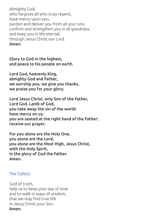Almighty God, who forgives all who truly repent, have mercy upon you, pardon and deliver you from all your sins, confirm and strengthen you in all goodness, and keep you in life eternal; through Jesus Christ our Lord. Amen.

Glory to God in the highest, and peace to his people on earth.

Lord God, heavenly King, almighty God and Father, we worship you, we give you thanks, we praise you for your glory.

Lord Jesus Christ, only Son of the Father, Lord God, Lamb of God, you take away the sin of the world: have mercy on us; you are seated at the right hand of the Father: receive our prayer.

For you alone are the Holy One, you alone are the Lord, you alone are the Most High, Jesus Christ, with the Holy Spirit, in the glory of God the Father. Amen.

#### The Collect

God of truth, help us to keep your law of love and to walk in ways of wisdom, that we may find true life in Jesus Christ your Son. Amen.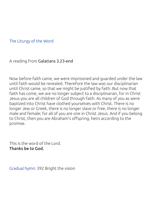#### The Liturgy of the Word

A reading from Galatians 3.23-end

Now before faith came, we were imprisoned and guarded under the law until faith would be revealed. Therefore the law was our disciplinarian until Christ came, so that we might be justified by faith. But now that faith has come, we are no longer subject to a disciplinarian, for in Christ Jesus you are all children of God through faith. As many of you as were baptized into Christ have clothed yourselves with Christ. There is no longer Jew or Greek, there is no longer slave or free, there is no longer male and female; for all of you are one in Christ Jesus. And if you belong to Christ, then you are Abraham's offspring, heirs according to the promise.

This is the word of the Lord. Thanks be to God.

Gradual hymn: 392 Bright the vision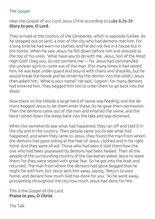# The Gospel

Hear the Gospel of our Lord Jesus Christ according to Luke 8.26-39 Glory to you, O Lord.

They arrived at the country of the Gerasenes, which is opposite Galilee. As he stepped out on land, a man of the city who had demons met him. For a long time he had worn no clothes, and he did not live in a house but in the tombs. When he saw Jesus, he fell down before him and shouted at the top of his voice, 'What have you to do with me, Jesus, Son of the Most High God? I beg you, do not torment me'— for Jesus had commanded the unclean spirit to come out of the man. (For many times it had seized him; he was kept under guard and bound with chains and shackles, but he would break the bonds and be driven by the demon into the wilds.) Jesus then asked him, 'What is your name?' He said, 'Legion'; for many demons had entered him. They begged him not to order them to go back into the abyss.

Now there on the hillside a large herd of swine was feeding; and the demons begged Jesus to let them enter these. So he gave them permission. Then the demons came out of the man and entered the swine, and the herd rushed down the steep bank into the lake and was drowned.

When the swineherds saw what had happened, they ran off and told it in the city and in the country. Then people came out to see what had happened, and when they came to Jesus, they found the man from whom the demons had gone sitting at the feet of Jesus, clothed and in his right mind. And they were afraid. Those who had seen it told them how the one who had been possessed by demons had been healed. Then all the people of the surrounding country of the Gerasenes asked Jesus to leave them; for they were seized with great fear. So he got into the boat and returned. The man from whom the demons had gone begged that he might be with him; but Jesus sent him away, saying, 'Return to your home, and declare how much God has done for you.' So he went away, proclaiming throughout the city how much Jesus had done for him.

This is the Gospel of the Lord. Praise to you, O Christ.

The Talk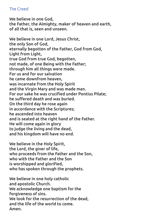# The Creed

We believe in one God, the Father, the Almighty, maker of heaven and earth, of all that is, seen and unseen.

We believe in one Lord, Jesus Christ, the only Son of God, eternally begotten of the Father, God from God, Light from Light, true God from true God, begotten, not made, of one Being with the Father; through him all things were made. For us and for our salvation he came downfrom heaven, was incarnate from the Holy Spirit and the Virgin Mary and was made man. For our sake he was crucified under Pontius Pilate; he suffered death and was buried. On the third day he rose again in accordance with the Scriptures; he ascended into heaven and is seated at the right hand of the Father. He will come again in glory to judge the living and the dead, and his kingdom will have no end.

We believe in the Holy Spirit, the Lord, the giver of life, who proceeds from the Father and the Son, who with the Father and the Son is worshipped and glorified, who has spoken through the prophets.

We believe in one holy catholic and apostolic Church. We acknowledge one baptism for the forgiveness of sins. We look for the resurrection of the dead, and the life of the world to come. Amen.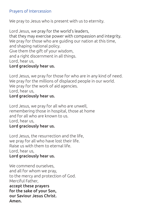## Prayers of Intercession

We pray to Jesus who is present with us to eternity.

Lord Jesus, we pray for the world's leaders, that they may exercise power with compassion and integrity. We pray for those who are guiding our nation at this time, and shaping national policy. Give them the gift of your wisdom, and a right discernment in all things. Lord, hear us, Lord graciously hear us.

Lord Jesus, we pray for those for who are in any kind of need. We pray for the millions of displaced people in our world. We pray for the work of aid agencies. Lord, hear us,

# Lord graciously hear us.

Lord Jesus, we pray for all who are unwell, remembering those in hospital, those at home and for all who are known to us. Lord, hear us, Lord graciously hear us.

Lord Jesus, the resurrection and the life, we pray for all who have lost their life. Raise us with them to eternal life. Lord, hear us, Lord graciously hear us.

# We commend ourselves, and all for whom we pray, to the mercy and protection of God. Merciful Father, accept these prayers for the sake of your Son, our Saviour Jesus Christ. Amen.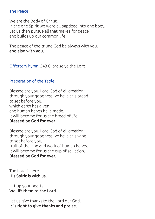#### The Peace

We are the Body of Christ. In the one Spirit we were all baptized into one body. Let us then pursue all that makes for peace and builds up our common life.

The peace of the triune God be always with you. and also with you.

Offertory hymn: 543 O praise ye the Lord

# Preparation of the Table

Blessed are you, Lord God of all creation: through your goodness we have this bread to set before you, which earth has given and human hands have made. It will become for us the bread of life. Blessed be God for ever.

Blessed are you, Lord God of all creation: through your goodness we have this wine to set before you, fruit of the vine and work of human hands. It will become for us the cup of salvation. Blessed be God for ever.

The Lord is here. His Spirit is with us.

Lift up your hearts. We lift them to the Lord.

Let us give thanks to the Lord our God. It is right to give thanks and praise.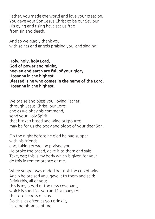Father, you made the world and love your creation. You gave your Son Jesus Christ to be our Saviour. His dying and rising have set us free from sin and death.

And so we gladly thank you, with saints and angels praising you, and singing:

Holy, holy, holy Lord, God of power and might, heaven and earth are full of your glory. Hosanna in the highest. Blessed is he who comes in the name of the Lord. Hosanna in the highest.

We praise and bless you, loving Father, through Jesus Christ, our Lord; and as we obey his command, send your Holy Spirit, that broken bread and wine outpoured may be for us the body and blood of your dear Son.

On the night before he died he had supper with his friends and, taking bread, he praised you. He broke the bread, gave it to them and said: Take, eat; this is my body which is given for you; do this in remembrance of me.

When supper was ended he took the cup of wine. Again he praised you, gave it to them and said: Drink this, all of you; this is my blood of the new covenant, which is shed for you and for many for the forgiveness of sins. Do this, as often as you drink it, in remembrance of me.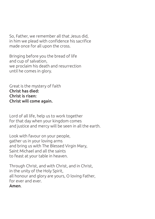So, Father, we remember all that Jesus did, in him we plead with confidence his sacrifice made once for all upon the cross.

Bringing before you the bread of life and cup of salvation, we proclaim his death and resurrection until he comes in glory.

Great is the mystery of faith Christ has died: Christ is risen: Christ will come again.

Lord of all life, help us to work together for that day when your kingdom comes and justice and mercy will be seen in all the earth.

Look with favour on your people, gather us in your loving arms and bring us with The Blessed Virgin Mary, Saint Michael and all the saints to feast at your table in heaven.

Through Christ, and with Christ, and in Christ, in the unity of the Holy Spirit, all honour and glory are yours, O loving Father, for ever and ever.

Amen.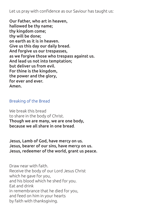Let us pray with confidence as our Saviour has taught us:

Our Father, who art in heaven, hallowed be thy name; thy kingdom come; thy will be done; on earth as it is in heaven. Give us this day our daily bread. And forgive us our trespasses, as we forgive those who trespass against us. And lead us not into temptation; but deliver us from evil. For thine is the kingdom, the power and the glory, for ever and ever. Amen.

#### Breaking of the Bread

We break this bread to share in the body of Christ. Though we are many, we are one body, because we all share in one bread.

Jesus, Lamb of God, have mercy on us. Jesus, bearer of our sins, have mercy on us. Jesus, redeemer of the world, grant us peace.

Draw near with faith. Receive the body of our Lord Jesus Christ which he gave for you, and his blood which he shed for you. Eat and drink in remembrance that he died for you, and feed on him in your hearts by faith with thanksgiving.